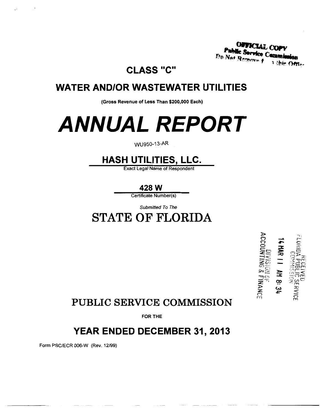**OFFICIAL CO** le Service Ce Do Not De

**CLASS "C"** 

## **WATER AND/OR WASTEWATER UTILITIES**

(Gross Revenue of Less Than \$200,000 Each)

# **ANNUAL REPORT**

#### WU950-13-AR

## **HASH UTILITIES, LLC.**

**Exact Legal Name of Respondent** 

428 W

Certificate Number(s)

Submitted To The

**STATE OF FLORIDA** 



## **PUBLIC SERVICE COMMISSION**

**FOR THE** 

## YEAR ENDED DECEMBER 31, 2013

Form PSC/ECR 006-W (Rev. 12/99)

 $\rightarrow$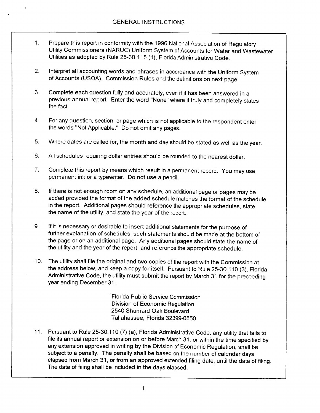- Prepare this report in conformity with the 1996 National Association of Regulatory  $1<sub>1</sub>$ Utility Commissioners (NARUC) Uniform System of Accounts for Water and Wastewater Utilities as adopted by Rule 25-30.115 (1), Florida Administrative Code.
- Interpret all accounting words and phrases in accordance with the Uniform System  $2.$ of Accounts (USOA). Commission Rules and the definitions on next page.
- $3<sub>1</sub>$ Complete each question fully and accurately, even if it has been answered in a previous annual report. Enter the word "None" where it truly and completely states the fact.
- For any question, section, or page which is not applicable to the respondent enter  $4.$ the words "Not Applicable." Do not omit any pages.
- $5<sub>1</sub>$ Where dates are called for, the month and day should be stated as well as the year.
- All schedules requiring dollar entries should be rounded to the nearest dollar. 6.
- $7<sub>1</sub>$ Complete this report by means which result in a permanent record. You may use permanent ink or a typewriter. Do not use a pencil.
- If there is not enough room on any schedule, an additional page or pages may be 8. added provided the format of the added schedule matches the format of the schedule in the report. Additional pages should reference the appropriate schedules, state the name of the utility, and state the year of the report.
- If it is necessary or desirable to insert additional statements for the purpose of 9. further explanation of schedules, such statements should be made at the bottom of the page or on an additional page. Any additional pages should state the name of the utility and the year of the report, and reference the appropriate schedule.
- 10. The utility shall file the original and two copies of the report with the Commission at the address below, and keep a copy for itself. Pursuant to Rule 25-30.110 (3), Florida Administrative Code, the utility must submit the report by March 31 for the preceeding year ending December 31.

Florida Public Service Commission Division of Economic Regulation 2540 Shumard Oak Boulevard Tallahassee, Florida 32399-0850

11. Pursuant to Rule 25-30.110 (7) (a), Florida Administrative Code, any utility that fails to file its annual report or extension on or before March 31, or within the time specified by any extension approved in writing by the Division of Economic Regulation, shall be subject to a penalty. The penalty shall be based on the number of calendar days elapsed from March 31, or from an approved extended filing date, until the date of filing. The date of filing shall be included in the days elapsed.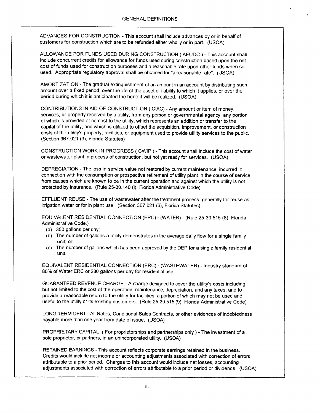ADVANCES FOR CONSTRUCTION - This account shall include advances by or in behalf of customers for construction which are to be refunded either wholly or in part. (USOA)

ALLOWANCE FOR FUNDS USED DURING CONSTRUCTION (AFUDC) - This account shall include concurrent credits for allowance for funds used during construction based upon the net cost of funds used for construction purposes and a reasonable rate upon other funds when so used. Appropriate regulatory approval shall be obtained for "a reasonable rate". (USOA)

AMORTIZATION - The gradual extinguishment of an amount in an account by distributing such amount over a fixed period, over the life of the asset or liability to which it applies, or over the period during which it is anticipated the benefit will be realized. (USOA)

CONTRIBUTIONS IN AID OF CONSTRUCTION (CIAC) - Any amount or item of money, services, or property received by a utility, from any person or governmental agency, any portion of which is provided at no cost to the utility, which represents an addition or transfer to the capital of the utility, and which is utilized to offset the acquisition, improvement, or construction costs of the utility's property, facilities, or equipment used to provide utility services to the public. (Section 367.021 (3), Florida Statutes)

CONSTRUCTION WORK IN PROGRESS (CWIP) - This account shall include the cost of water or wastewater plant in process of construction, but not yet ready for services. (USOA)

DEPRECIATION - The loss in service value not restored by current maintenance, incurred in connection with the consumption or prospective retirement of utility plant in the course of service from causes which are known to be in the current operation and against which the utility is not protected by insurance. (Rule 25-30.140 (i), Florida Administrative Code)

EFFLUENT REUSE - The use of wastewater after the treatment process, generally for reuse as irrigation water or for in plant use. (Section 367.021 (6), Florida Statutes)

EQUIVALENT RESIDENTIAL CONNECTION (ERC) - (WATER) - (Rule 25-30.515 (8), Florida Administrative Code.)

- (a) 350 gallons per day;
- (b) The number of gallons a utility demonstrates in the average daily flow for a single family unit; or
- $(c)$ The number of gallons which has been approved by the DEP for a single family residential unit.

EQUIVALENT RESIDENTIAL CONNECTION (ERC) - (WASTEWATER) - Industry standard of 80% of Water ERC or 280 gallons per day for residential use.

GUARANTEED REVENUE CHARGE - A charge designed to cover the utility's costs including, but not limited to the cost of the operation, maintenance, depreciation, and any taxes, and to provide a reasonable return to the utility for facilities, a portion of which may not be used and useful to the utility or its existing customers. (Rule 25-30.515 (9), Florida Administrative Code)

LONG TERM DEBT - All Notes, Conditional Sales Contracts, or other evidences of indebtedness payable more than one year from date of issue. (USOA)

PROPRIETARY CAPITAL (For proprietorships and partnerships only) - The investment of a sole proprietor, or partners, in an unincorporated utility. (USOA)

RETAINED EARNINGS - This account reflects corporate earnings retained in the business. Credits would include net income or accounting adjustments associated with correction of errors attributable to a prior period. Charges to this account would include net losses, accounting adjustments associated with correction of errors attributable to a prior period or dividends. (USOA)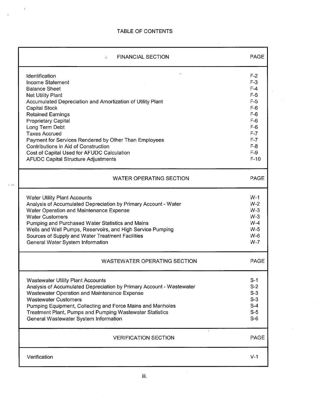$\sim$   $\sim$ 

 $\mathcal{L}$ 

 $\frac{1}{\sqrt{2}}\left( \frac{1}{\sqrt{2}}\right) \left( \frac{1}{\sqrt{2}}\right) \left( \frac{1}{\sqrt{2}}\right) \left( \frac{1}{\sqrt{2}}\right) \left( \frac{1}{\sqrt{2}}\right) \left( \frac{1}{\sqrt{2}}\right) \left( \frac{1}{\sqrt{2}}\right) \left( \frac{1}{\sqrt{2}}\right) \left( \frac{1}{\sqrt{2}}\right) \left( \frac{1}{\sqrt{2}}\right) \left( \frac{1}{\sqrt{2}}\right) \left( \frac{1}{\sqrt{2}}\right) \left( \frac{1}{\sqrt{2}}\right) \left$ 

 $\mathcal{A}^{\mathcal{A}}$ 

 $\omega_{\rm c}$  and

| <b>FINANCIAL SECTION</b><br>$\leq$                                   | <b>PAGE</b> |
|----------------------------------------------------------------------|-------------|
| Identification                                                       | $F-2$       |
| Income Statement                                                     | $F-3$       |
| <b>Balance Sheet</b>                                                 | $F-4$       |
| <b>Net Utility Plant</b>                                             | $F-5$       |
| Accumulated Depreciation and Amortization of Utility Plant           | $F-5$       |
| Capital Stock                                                        | $F-6$       |
| <b>Retained Earnings</b>                                             | $F-6$       |
| <b>Proprietary Capital</b>                                           | $F-6$       |
| Long Term Debt                                                       | $F-6$       |
| <b>Taxes Accrued</b>                                                 | $F-7$       |
| Payment for Services Rendered by Other Than Employees                | $F-7$       |
| Contributions in Aid of Construction                                 | $F-8$       |
| Cost of Capital Used for AFUDC Calculation                           | $F-9$       |
| <b>AFUDC Capital Structure Adjustments</b>                           | $F-10$      |
| <b>WATER OPERATING SECTION</b>                                       | <b>PAGE</b> |
| <b>Water Utility Plant Accounts</b>                                  | $W-1$       |
| Analysis of Accumulated Depreciation by Primary Account - Water      | $W-2$       |
| Water Operation and Maintenance Expense                              | $W-3$       |
| <b>Water Customers</b>                                               | $W-3$       |
| Pumping and Purchased Water Statistics and Mains                     | $W-4$       |
| Wells and Well Pumps, Reservoirs, and High Service Pumping           | $W-5$       |
| Sources of Supply and Water Treatment Facilities                     | $W-6$       |
| General Water System Information                                     | $W-7$       |
| <b>WASTEWATER OPERATING SECTION</b>                                  | <b>PAGE</b> |
| <b>Wastewater Utility Plant Accounts</b>                             | $S-1$       |
| Analysis of Accumulated Depreciation by Primary Account - Wastewater | $S-2$       |
| Wastewater Operation and Maintenance Expense                         | $S-3$       |
| <b>Wastewater Customers</b>                                          | $S-3$       |
| Pumping Equipment, Collecting and Force Mains and Manholes           | $S-4$       |
| Treatment Plant, Pumps and Pumping Wastewater Statistics             | $S-5$       |
| General Wastewater System Information                                | $S-6$       |
| <b>VERIFICATION SECTION</b>                                          | <b>PAGE</b> |
| Verification                                                         | $V-1$       |

 $\mathcal{L}^{\text{max}}_{\text{max}}$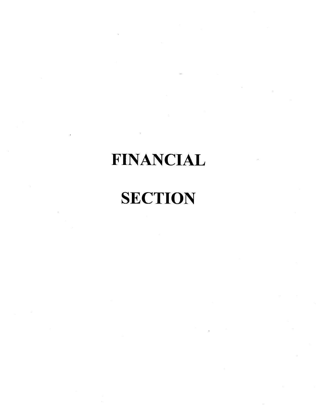# **FINANCIAL**

# **SECTION**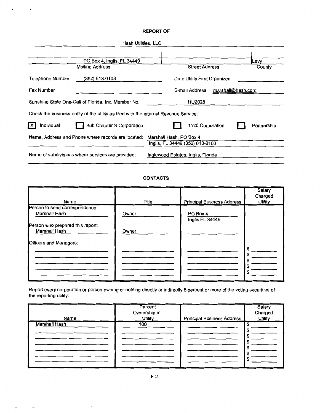#### **REPORT OF**

 $\mathcal{O}(\sqrt{N_{\rm{max}}})$  . The  $N_{\rm{max}}$ 

|                                       | Hash Utilities, LLC.                                                                 |                                    |                              |                   |             |
|---------------------------------------|--------------------------------------------------------------------------------------|------------------------------------|------------------------------|-------------------|-------------|
|                                       |                                                                                      |                                    |                              |                   |             |
|                                       | PO Box 4, Inglis, FL 34449                                                           |                                    |                              |                   | Levy        |
|                                       | <b>Mailing Address</b>                                                               |                                    | <b>Street Address</b>        |                   | County      |
| Telephone Number                      | (352) 613-0103                                                                       |                                    | Date Utility First Organized |                   |             |
| Fax Number                            |                                                                                      |                                    | E-mail Address               | marshall@hash.com |             |
|                                       | Sunshine State One-Call of Florida, Inc. Member No.                                  |                                    | <b>HU2028</b>                |                   |             |
|                                       | Check the business entity of the utility as filed with the Internal Revenue Service: |                                    |                              |                   |             |
| $\overline{\mathsf{x}}$<br>Individual | Sub Chapter S Corporation                                                            |                                    | 1120 Corporation             |                   | Partnership |
|                                       | Name, Address and Phone where records are located:                                   | Marshall Hash, PO Box 4,           |                              |                   |             |
|                                       |                                                                                      | Inglis, FL 34449 (352) 613-0103    |                              |                   |             |
|                                       | Name of subdivisions where services are provided:                                    | Inglewood Estates, Inglis, Florida |                              |                   |             |

#### **CONTACTS**

|                                  |       |                                   | Salary<br>Charged |
|----------------------------------|-------|-----------------------------------|-------------------|
| Name                             | Title | <b>Principal Business Address</b> | <b>Utility</b>    |
| Person to send correspondence:   |       |                                   |                   |
| Marshall Hash                    | Owner | PO Box 4<br>Inglis FL 34449       |                   |
| Person who prepared this report: |       |                                   |                   |
| Marshall Hash                    | Owner |                                   |                   |
| Officers and Managers:           |       |                                   |                   |
|                                  |       |                                   | \$<br>S           |
|                                  |       |                                   |                   |
|                                  |       |                                   | S                 |
|                                  |       |                                   | S                 |

Report every corporation or person owning or holding directly or indirectly 5 percent or more of the voting securities of the reporting utility:

|               | Percent        |                                   | Salary         |
|---------------|----------------|-----------------------------------|----------------|
|               | Ownership in   |                                   | Charged        |
| Name          | <b>Utility</b> | <b>Principal Business Address</b> | <b>Utility</b> |
| Marshall Hash | 100            |                                   |                |
|               |                |                                   |                |
|               |                |                                   |                |
|               |                |                                   |                |
|               |                |                                   |                |
|               |                |                                   |                |
|               |                |                                   |                |
|               |                |                                   |                |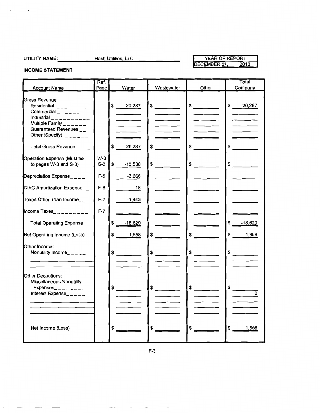$\chi$ 

 $\sim$   $\sim$ 

### YEAR OF REPORT<br>DECEMBER 31, 201 2013

**INCOME STATEMENT** 

| <b>Account Name</b>                                                                                                                                                                                                               | Ref.<br>Page   | Water                | Wastewater                 | Other                                        | Total<br>Company                       |
|-----------------------------------------------------------------------------------------------------------------------------------------------------------------------------------------------------------------------------------|----------------|----------------------|----------------------------|----------------------------------------------|----------------------------------------|
| Gross Revenue:<br>Residential ________<br>Commercial $\frac{1}{2}$ $\frac{1}{2}$ $\frac{1}{2}$ $\frac{1}{2}$<br>Industrial ___________<br>Multiple Family $\frac{1}{2}$ = $\frac{1}{2}$ = $\frac{1}{2}$<br>Guaranteed Revenues __ |                | \$ 20,287            | $\frac{1}{\sqrt{2}}$       | $\frac{1}{\sqrt{2}}$                         | \$ 20,287                              |
| Other (Specify) $2 - 2 - 1$<br>Total Gross Revenue____                                                                                                                                                                            |                | 20,287<br>S.         | \$<br>and the state of the | $\frac{1}{2}$                                | $\frac{1}{2}$                          |
| Operation Expense (Must tie<br>to pages W-3 and S-3)                                                                                                                                                                              | $W-3$<br>$S-3$ | $$-.13,538$          | $\frac{1}{\sqrt{2}}$       | $\frac{1}{2}$                                | $\frac{1}{2}$                          |
| Depreciation Expense____                                                                                                                                                                                                          | $F-5$          | $-3,666$             |                            |                                              |                                        |
| CIAC Amortization Expense__                                                                                                                                                                                                       | $F-8$          | 18                   |                            |                                              |                                        |
| Taxes Other Than Income__                                                                                                                                                                                                         | $F-7$          | $-1,443$             |                            |                                              |                                        |
| Income Taxes__________                                                                                                                                                                                                            | $F-7$          |                      |                            |                                              |                                        |
| <b>Total Operating Expense</b>                                                                                                                                                                                                    |                | \$<br>$-18,629$      |                            |                                              | $$-.18,629$                            |
| Net Operating Income (Loss)                                                                                                                                                                                                       |                | \$<br>1,658          | \$                         | $\sim$                                       | \$ 1,658                               |
| Other Income:<br>Nonutility Income_____                                                                                                                                                                                           |                | $\frac{1}{\sqrt{2}}$ | $\frac{1}{\sqrt{2}}$       | $\frac{1}{\sqrt{2}}$                         | $\frac{1}{2}$                          |
| Other Deductions:<br><b>Miscellaneous Nonutility</b><br>Expenses_ $\frac{1}{2}$ _ _ _ _ _ _ _<br>Interest Expense_____                                                                                                            |                | $\frac{1}{2}$        | $\frac{1}{2}$              | $\frac{1}{\sqrt{1-\frac{1}{2}}-\frac{1}{2}}$ | $\frac{1}{\sqrt{2}}$<br>$\overline{0}$ |
| Net Income (Loss)                                                                                                                                                                                                                 |                | \$                   | $\sim$                     | $$^{\circ}$                                  | \$<br>1,658                            |

J.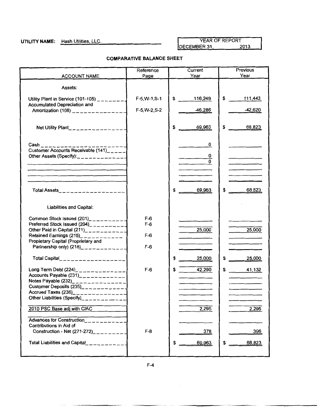UTILITY NAME: Hash Utilities, LLC. YEAR OF REPORT DECEMBER 31, 2013

#### **COMPARATIVE BALANCE SHEET**

|                                                                                                                                                                                                                                                                             | Reference                        | Current                                              | Previous          |
|-----------------------------------------------------------------------------------------------------------------------------------------------------------------------------------------------------------------------------------------------------------------------------|----------------------------------|------------------------------------------------------|-------------------|
| <b>ACCOUNT NAME</b>                                                                                                                                                                                                                                                         | Page                             | Year                                                 | Year              |
| Assets:                                                                                                                                                                                                                                                                     |                                  |                                                      |                   |
| Utility Plant in Service (101-105) $\frac{1}{2}$<br>Accumulated Depreciation and                                                                                                                                                                                            | $F-5, W-1, S-1$                  | \$<br>116,249                                        | $\sim$<br>111,443 |
| Amortization (108) _______________                                                                                                                                                                                                                                          | F-5, W-2, S-2                    | 46.286                                               | -42,620           |
| Net Utility Plant______________                                                                                                                                                                                                                                             |                                  | \$<br>69,963                                         | \$<br>68,823      |
| Cash _________________________<br>Customer Accounts Receivable (141)_____<br>Other Assets (Specify):<br>$x = -$ - - - - - - - - -                                                                                                                                           |                                  | 0<br>0<br><b>Contract Contract</b><br>$\overline{0}$ |                   |
|                                                                                                                                                                                                                                                                             |                                  |                                                      |                   |
| Total Assets___________________                                                                                                                                                                                                                                             |                                  | \$<br>69,963                                         | 68,823<br>\$      |
| Liabilities and Capital:                                                                                                                                                                                                                                                    |                                  |                                                      |                   |
| Common Stock Issued (201)__________<br>Preferred Stock Issued (204)___________<br>Other Paid in Capital $(211)$ <sub>___________</sub><br>Retained Earnings (215) <sub>-1-1-1-1-1-1</sub><br>Propietary Capital (Proprietary and<br>Partnership only) $(218)$ _____________ | $F-6$<br>$F-6$<br>$F-6$<br>$F-6$ | 25,000<br>and the control of the con-                | 25,000            |
| Total Capital__________________                                                                                                                                                                                                                                             |                                  | \$<br>25,000                                         | \$<br>25,000      |
| Long Term Debt $(224)$ <sub>2</sub> - - - - - - - - - - - - -<br>Accounts Payable $(231)$ _____________<br>Customer Deposits (235)_____________1<br>Accrued Taxes (236)________________<br>Other Liabilities (Specify)________                                              | $F-6$                            | 42,290<br>\$                                         | \$<br>41,132      |
| 2010 PSC Base adj with CIAC                                                                                                                                                                                                                                                 |                                  | 2,295                                                | 2,295             |
| Advances for Construction<br>Contributions in Aid of<br>Construction - Net $(271-272)$ _____                                                                                                                                                                                | $F-8$                            | 378                                                  | 396               |
| <b>Total Liabilities and Capital</b>                                                                                                                                                                                                                                        |                                  | 69,963<br>\$                                         | 68,823<br>\$      |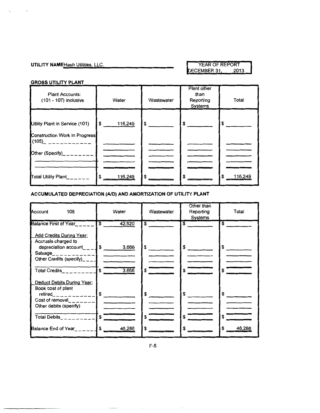#### **UTILITY NAME** Hash Utilities, LLC. YEAR OF REPORT PERSON TO PERSON TO PERSON TO PERSON TO PERSON TO PERSON TO PERSON TO PERSON TO PERSON TO PERSON TO PERSON TO PERSON TO PERSON TO PERSON TO PERSON TO PERSON TO PERSON TO P DECEMBER 31,

#### **GROSS UTILITY PLANT**

 $\ddot{\phantom{a}}$ 

 $\ddot{\phantom{0}}$ 

| <b>Plant Accounts:</b><br>(101 - 107) inclusive                        | Water                   | Wastewater    | Plant other<br>than<br>Reporting<br>Systems | Total         |
|------------------------------------------------------------------------|-------------------------|---------------|---------------------------------------------|---------------|
| Utility Plant in Service (101)<br><b>Construction Work in Progress</b> | $\mathbf{s}$<br>116,249 | $\frac{1}{2}$ | $\frac{1}{2}$                               | \$            |
| (105)_ ____________<br>Other (Specify)________                         |                         |               |                                             |               |
| Total Utility Plant______                                              | \$<br>116,249           | \$            |                                             | \$<br>116,249 |

#### **ACCUMULATED DEPRECIATION (AID) AND AMORTIZATION OF UTILITY PLANT**

| Account<br>108                                                                                                                     | Water                             | Wastewater           | Other than<br>Reporting<br>Systems | Total        |
|------------------------------------------------------------------------------------------------------------------------------------|-----------------------------------|----------------------|------------------------------------|--------------|
| <b>Balance First of Year</b>                                                                                                       | $\overline{\mathbf{s}}$<br>42,620 | \$                   | $\overline{\mathbf{s}}$            | S            |
| <b>Add Credits During Year:</b><br>Accruals charged to<br>depreciation account $\_\_$ $\_\_$<br>Salvage_____________               | 3,666                             | $\frac{1}{\sqrt{2}}$ | \$                                 | \$           |
| Total Credits $\_\_$                                                                                                               | $\overline{\mathbf{s}}$<br>3,666  | S                    | \$                                 | \$           |
| Deduct Debits During Year:<br>Book cost of plant<br>$retired$ <sub>____________</sub><br>Cost of removal<br>Other debits (specify) | $\sim$                            | \$                   | S.                                 | \$           |
| Total Debits<br>---------                                                                                                          | \$                                | \$                   | \$                                 | \$           |
| <b>Balance End of Year</b> Party                                                                                                   | \$<br>46,286                      | \$                   |                                    | \$<br>46,286 |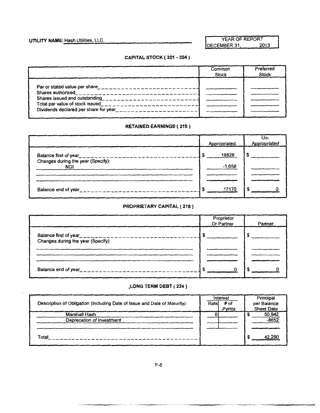**UTILITY NAME:** Hash Utilities, LLC. YEAR OF REPORT YEAR OF REPORT DECEMBER 31,

### **CAPITAL STOCK ( 201 - 204** )

|                                                                                                                                                                  | Common<br><b>Stock</b> | Preferred<br><b>Stock</b> |
|------------------------------------------------------------------------------------------------------------------------------------------------------------------|------------------------|---------------------------|
| Par or stated value per share__________________________<br>Shares issued and outstanding<br>$\frac{1}{2}$<br>Total par value of stock issued____________________ |                        |                           |

#### **RETAINED EARNINGS ( 215)**

|                                                                                         | Appropriated | Un-<br>Appropriated |
|-----------------------------------------------------------------------------------------|--------------|---------------------|
| Balance first of year____________________________<br>Changes during the year (Specify): | 18828        |                     |
| <b>NOI</b>                                                                              | $-1,658$     |                     |
| Balance end of year<br>----------------------                                           | 17170        |                     |

#### **PROPRIETARY CAPITAL ( 218)**

|                                                                                 | Proprietor<br>Or Partner | Partner |
|---------------------------------------------------------------------------------|--------------------------|---------|
| Balance first of year____________________<br>Changes during the year (Specify): |                          |         |
|                                                                                 |                          |         |
| Balance end of year<br>$\frac{1}{2}$                                            |                          |         |

#### **.LONG TERM DEBT ( 224** )

|                                                                           |       | Interest | Principal         |
|---------------------------------------------------------------------------|-------|----------|-------------------|
| Description of Obligation (Including Date of Issue and Date of Maturity): | Ratel | $#$ of   | per Balance       |
|                                                                           |       | Pymts    | <b>Sheet Date</b> |
| Marshall Hash                                                             |       |          | 50,942            |
| Deprecation of Investment                                                 |       |          | $-8652$           |
|                                                                           |       |          |                   |
|                                                                           |       |          |                   |
| Total                                                                     |       |          | 42,290            |
|                                                                           |       |          |                   |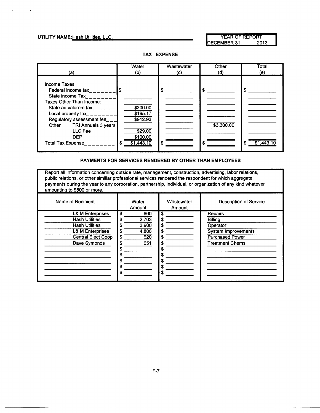#### **UTILITY NAME:** Hash Utilities, LLC. YEAR OF REPORT

DECEMBER 31, 2013

Water | Wastewater | Other | Total (a)  $(a)$  (b)  $(c)$  (c) (d) (e) Income Taxes: Federal income tax \_ \_ \_ \_ \_ \_ \_ \_ \$ \$ \$ \$ \$ \$ State income  $\text{Tax}_{\text{---}}$ Taxes Other Than Income: State ad valorem  $\text{tax}\_\_\_\_\_\_$ Local property  $\tanctan 2$ Regulatory assessment fee \_\_\_ \$912.93 Other TRI Annuals 3 years **\$3,300.00 \$3,300.00** LLC Fee  $$29.00$ DEP \$100.00 Total Tax Expense\_\_\_\_\_\_\_\_  $\$\frac{1}{3}\$   $\frac{1}{31,443.10}$   $\$\frac{1}{3}$   $\$\frac{1}{3}$   $\$\frac{1}{31,443.10}$ 

#### **TAX EXPENSE**

#### **PAYMENTS FOR SERVICES RENDERED BY OTHER THAN EMPLOYEES**

Report all information concerning outside rate, management, construction, advertising, labor relations, public relations, or other similiar professional services rendered the respondent for which aggregate payments during the year to any corporation, partnership, individual, or organization of any kind whatever amounting to \$500 or more.

| Name of Recipient                                                                                                                                         | Water<br>Amount                                        | Wastewater<br>Amount                 | <b>Description of Service</b>                                                                                    |
|-----------------------------------------------------------------------------------------------------------------------------------------------------------|--------------------------------------------------------|--------------------------------------|------------------------------------------------------------------------------------------------------------------|
| <b>L&amp; M Enterprises</b><br><b>Hash Utilities</b><br><b>Hash Utilities</b><br><b>L&amp; M Enterprises</b><br><b>Central Elect Coop</b><br>Dave Symonds | 660<br>S<br>2,703<br>3,900<br>4,806<br>620<br>S<br>651 | S<br>S<br>S<br>S<br>S<br>S<br>S<br>S | Repairs<br><b>Billing</b><br>Operator<br>System Improvements<br><b>Purchased Power</b><br><b>Treatment Chems</b> |
|                                                                                                                                                           | S                                                      | S<br>S<br>\$                         |                                                                                                                  |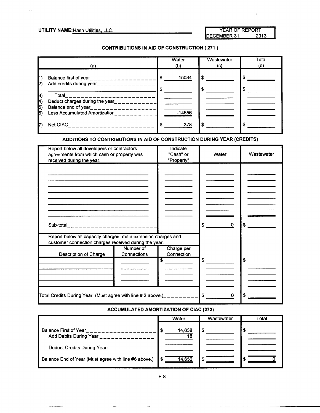### UTILITY NAME: Hash Utilities, LLC.

|              | YEAR OF REPORT |
|--------------|----------------|
| DECEMBER 31, | 2013           |

#### CONTRIBUTIONS IN AID OF CONSTRUCTION ( 271 )

|                          | (a)                                                                                                         | Water<br>(b) | Wastewater<br>(c) | Total<br>(d) |
|--------------------------|-------------------------------------------------------------------------------------------------------------|--------------|-------------------|--------------|
| $\vert$ 1)<br>IZ)        | Balance first of year___________________<br>Add credits during year_________________                        | 15034<br>I S | S<br>S            |              |
| $ 3\rangle$<br>$\vert A$ | Total<br>____________________<br>Deduct charges during the year____________                                 |              |                   |              |
| $\ket{5}$<br>16)         | Balance end of year__________________<br>Less Accumulated Amortization<br>and the state of the state of the | $-14656$     |                   |              |
|                          | Net CIAC<br>------------------                                                                              | 378          | -S                |              |

#### ADDITIONS TO CONTRIBUTIONS IN AID OF CONSTRUCTION DURING YEAR (CREDITS)

| Report below all developers or contractors<br>agreements from which cash or property was<br>received during the year.  | Indicate<br>"Cash" or<br>"Property" | Water | Wastewater |
|------------------------------------------------------------------------------------------------------------------------|-------------------------------------|-------|------------|
|                                                                                                                        |                                     |       |            |
|                                                                                                                        |                                     |       |            |
|                                                                                                                        |                                     |       |            |
|                                                                                                                        |                                     |       |            |
|                                                                                                                        |                                     |       |            |
|                                                                                                                        |                                     | \$    | \$         |
| Report below all capacity charges, main extension charges and<br>customer connection charges received during the year. |                                     |       |            |
| Number of<br>Description of Charge<br>Connections                                                                      | Charge per<br>Connection            |       |            |
|                                                                                                                        | $\overline{\mathbf{s}}$             | \$    |            |
|                                                                                                                        |                                     |       |            |
|                                                                                                                        |                                     |       |            |
| Total Credits During Year (Must agree with line # 2 above.)_________                                                   |                                     | -S    |            |

#### ACCUMULATED AMORTIZATION OF CIAC (272)

|                                                      | Water        | Wastewater | Total |
|------------------------------------------------------|--------------|------------|-------|
| Balance First of Year<br>Add Debits During Year:     | 14,638<br>18 | \$         |       |
| Deduct Credits During Year:                          |              |            |       |
| Balance End of Year (Must agree with line #6 above.) | 14,656       | S          |       |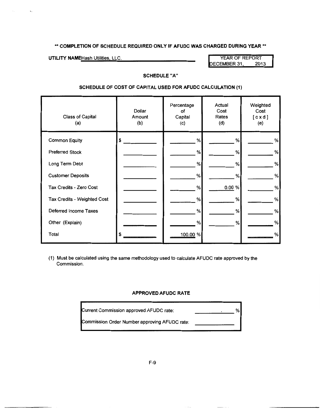#### \*\* **COMPLETION OF SCHEDULE REQUIRED ONLY IF AFUDC WAS CHARGED DURING YEAR** \*\*

UTILITY NAMEHash Utilities, LLC. We have a series of the YEAR OF REPORT

ECEMBER 31, 2013

#### **SCHEDULE "A"**

#### **SCHEDULE OF COST OF CAPITAL USED FOR AFUDC CALCULATION (1)**

| <b>Class of Capital</b><br>(a) | <b>Dollar</b><br>Amount<br>(b) | Percentage<br>οf<br>Capital<br>(c) | Actual<br>Cost<br>Rates<br>(d) | Weighted<br>Cost<br>[ c x d ]<br>(e) |
|--------------------------------|--------------------------------|------------------------------------|--------------------------------|--------------------------------------|
| <b>Common Equity</b>           | \$                             | %                                  | %                              | %                                    |
| <b>Preferred Stock</b>         |                                | %                                  | %                              | $\%$                                 |
| Long Term Debt                 |                                | %                                  | %                              | %                                    |
| <b>Customer Deposits</b>       |                                | %                                  | %                              | $\%$                                 |
| Tax Credits - Zero Cost        |                                | %                                  | 0.00 %                         | %                                    |
| Tax Credits - Weighted Cost    |                                | %                                  | %                              | %                                    |
| Deferred Income Taxes          |                                | %                                  | %                              | $\%$                                 |
| Other (Explain)                |                                | %                                  | $\%$                           | %                                    |
| Total                          | \$                             | 100.00 %                           |                                | %                                    |

(1) Must be calculated using the same methodology used to calculate AFUDC rate approved by the Commission.

#### **APPROVED AFUDC RATE**

| Current Commission approved AFUDC rate:       | "∿⊧ |
|-----------------------------------------------|-----|
| Commission Order Number approving AFUDC rate: |     |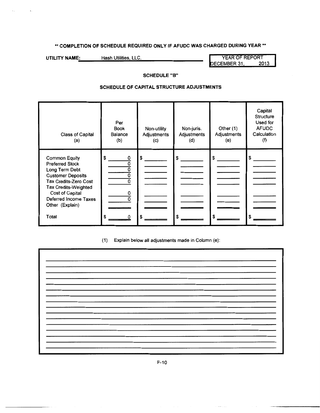### \*\* **COMPLETION OF SCHEDULE REQUIRED ONLY IF AFUDC WAS CHARGED DURING YEAR\*\***

**UTILITY NAME:** Hash Utilities, LLC. **Next and Secure 12013**<br>DECEMBER 31, 2013

DECEMBER 31,

#### **SCHEDULE "B"**

#### **SCHEDULE OF CAPITAL STRUCTURE ADJUSTMENTS**

| <b>Class of Capital</b><br>(a)                                                                                                                                                                                               | Per<br><b>Book</b><br>Balance<br>(b) | Non-utility<br>Adjustments<br>(c) | Non-juris.<br>Adjustments<br>(d) | Other (1)<br>Adjustments<br>(e) | Capital<br>Structure<br>Used for<br><b>AFUDC</b><br>Calculation<br>(t) |
|------------------------------------------------------------------------------------------------------------------------------------------------------------------------------------------------------------------------------|--------------------------------------|-----------------------------------|----------------------------------|---------------------------------|------------------------------------------------------------------------|
| <b>Common Equity</b><br><b>Preferred Stock</b><br>Long Term Debt<br><b>Customer Deposits</b><br><b>Tax Credits-Zero Cost</b><br>Tax Credits-Weighted<br>Cost of Capital<br>Deferred Income Taxes<br>Other (Explain)<br>Total | \$<br>0<br>ŋ<br>0<br>\$              | \$                                | S<br>S                           | S<br>\$                         | \$                                                                     |

(1) Explain below all adjustments made in Column (e):

F-10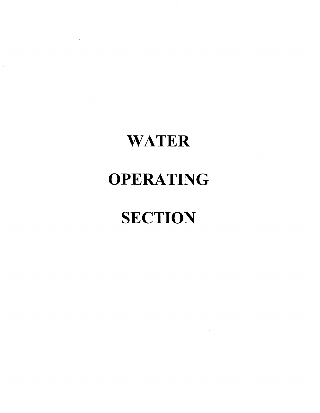# **WATER**

## **OPERATING**

# **SECTION**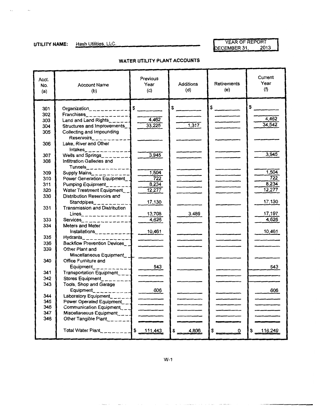$\Delta\Delta\phi$  and  $\Delta\phi$  . The  $\Delta\phi$ 

YEAR OF REPORT **UTILITY NAME:** Hash Utilities, LLC. **No. 2013 UTILITY NAME:** Hash Utilities, LLC.

### **WATER UTILITY PLANT ACCOUNTS**

| Acct.<br>No.<br>(a) | <b>Account Name</b><br>(b)                                   | Previous<br>Year<br>(c)  | Additions<br>(d) | Retirements<br>(e)                                                                                                                                                                                                                                                                                                                                                                                                   | Current<br>Year<br>(f) |
|---------------------|--------------------------------------------------------------|--------------------------|------------------|----------------------------------------------------------------------------------------------------------------------------------------------------------------------------------------------------------------------------------------------------------------------------------------------------------------------------------------------------------------------------------------------------------------------|------------------------|
| 301                 |                                                              |                          | $\frac{1}{2}$    | $\frac{1}{\sqrt{1-\frac{1}{2}}\sqrt{1-\frac{1}{2}}\sqrt{1-\frac{1}{2}}\sqrt{1-\frac{1}{2}}\sqrt{1-\frac{1}{2}}\sqrt{1-\frac{1}{2}}\sqrt{1-\frac{1}{2}}\sqrt{1-\frac{1}{2}}\sqrt{1-\frac{1}{2}}\sqrt{1-\frac{1}{2}}\sqrt{1-\frac{1}{2}}\sqrt{1-\frac{1}{2}}\sqrt{1-\frac{1}{2}}\sqrt{1-\frac{1}{2}}\sqrt{1-\frac{1}{2}}\sqrt{1-\frac{1}{2}}\sqrt{1-\frac{1}{2}}\sqrt{1-\frac{1}{2}}\sqrt{1-\frac{1}{2}}\sqrt{1-\frac$ | $\frac{1}{2}$          |
| 302                 | $Franchises$ <sub>2</sub> $         +$                       |                          |                  |                                                                                                                                                                                                                                                                                                                                                                                                                      |                        |
| 303                 | Land and Land Rights______                                   | 4,462                    |                  |                                                                                                                                                                                                                                                                                                                                                                                                                      | 4,462                  |
| 304                 | Structures and Improvements_                                 | 33,225                   | $\frac{1}{317}$  |                                                                                                                                                                                                                                                                                                                                                                                                                      | 34,542                 |
| 305                 | Collecting and Impounding                                    |                          |                  |                                                                                                                                                                                                                                                                                                                                                                                                                      |                        |
|                     | Reservoirs___________                                        |                          |                  |                                                                                                                                                                                                                                                                                                                                                                                                                      |                        |
| 306                 | Lake, River and Other                                        |                          |                  |                                                                                                                                                                                                                                                                                                                                                                                                                      |                        |
|                     | $Intakes$ <sub>_____________</sub>                           |                          |                  |                                                                                                                                                                                                                                                                                                                                                                                                                      |                        |
| 307                 | Wells and Springs________                                    | 3,945                    |                  |                                                                                                                                                                                                                                                                                                                                                                                                                      | 3,945                  |
| 308                 | Infiltration Galleries and                                   |                          |                  |                                                                                                                                                                                                                                                                                                                                                                                                                      |                        |
|                     | Tunnels_____________                                         |                          |                  |                                                                                                                                                                                                                                                                                                                                                                                                                      |                        |
| 309                 | Supply Mains___________                                      | 1,504                    |                  |                                                                                                                                                                                                                                                                                                                                                                                                                      | 1,504                  |
| 310                 | Power Generation Equipment                                   | $\frac{1}{722}$          |                  |                                                                                                                                                                                                                                                                                                                                                                                                                      | 722                    |
| 311                 | Pumping Equipment_______                                     | 8,234                    |                  |                                                                                                                                                                                                                                                                                                                                                                                                                      | 8.234                  |
| 320                 | Water Treatment Equipment__                                  | 12,277                   |                  |                                                                                                                                                                                                                                                                                                                                                                                                                      | 12,277                 |
| 330                 | Distribution Reservoirs and                                  |                          |                  |                                                                                                                                                                                                                                                                                                                                                                                                                      | 17,130                 |
| 331                 | Standpipes__________<br><b>Transmission and Distribution</b> | 17,130                   |                  |                                                                                                                                                                                                                                                                                                                                                                                                                      |                        |
|                     | Lines_______________                                         | 13,708                   | 3,489            |                                                                                                                                                                                                                                                                                                                                                                                                                      | 17,197                 |
| 333                 | Services_______________                                      | 4,626                    |                  |                                                                                                                                                                                                                                                                                                                                                                                                                      | 4,626                  |
| 334                 | Meters and Meter                                             |                          |                  |                                                                                                                                                                                                                                                                                                                                                                                                                      |                        |
|                     | Installations____________                                    | 10,461                   |                  |                                                                                                                                                                                                                                                                                                                                                                                                                      | 10,461                 |
| 335                 | Hydrants______________                                       |                          |                  |                                                                                                                                                                                                                                                                                                                                                                                                                      |                        |
| 336                 | <b>Backflow Prevention Devices</b>                           |                          |                  |                                                                                                                                                                                                                                                                                                                                                                                                                      |                        |
| 339                 | Other Plant and                                              |                          |                  |                                                                                                                                                                                                                                                                                                                                                                                                                      |                        |
|                     | Miscellaneous Equipment_ _                                   |                          |                  |                                                                                                                                                                                                                                                                                                                                                                                                                      |                        |
| 340                 | Office Furniture and                                         |                          |                  |                                                                                                                                                                                                                                                                                                                                                                                                                      |                        |
|                     | Equipment___________                                         | 543                      |                  |                                                                                                                                                                                                                                                                                                                                                                                                                      | 543                    |
| 341                 | Transportation Equipment___                                  | $\overline{\phantom{a}}$ |                  |                                                                                                                                                                                                                                                                                                                                                                                                                      |                        |
| 342                 | Stores Equipment                                             |                          |                  |                                                                                                                                                                                                                                                                                                                                                                                                                      |                        |
| 343                 | Tools, Shop and Garage                                       |                          |                  |                                                                                                                                                                                                                                                                                                                                                                                                                      |                        |
|                     | Equipment___________                                         | $- 606$                  |                  |                                                                                                                                                                                                                                                                                                                                                                                                                      | 606                    |
| 344                 | Laboratory Equipment______                                   | $\frac{1}{2}$            |                  | $\sim$                                                                                                                                                                                                                                                                                                                                                                                                               |                        |
| 345<br>346          | Power Operated Equipment__                                   |                          |                  |                                                                                                                                                                                                                                                                                                                                                                                                                      |                        |
| 347                 | Communication Equipment___<br>Miscellaneous Equipment____    |                          |                  |                                                                                                                                                                                                                                                                                                                                                                                                                      |                        |
| 348                 | Other Tangible Plant_______                                  |                          |                  |                                                                                                                                                                                                                                                                                                                                                                                                                      |                        |
|                     |                                                              | $\sim$                   |                  |                                                                                                                                                                                                                                                                                                                                                                                                                      |                        |
|                     | Total Water Plant___________\$ 111,443                       |                          | $$ -4,806$       | $\frac{1}{2}$<br>0                                                                                                                                                                                                                                                                                                                                                                                                   | \$ 116,249             |

W-1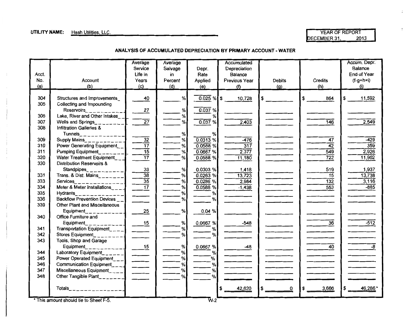#### **UTILITY NAME:** Hash Utilities, LLC. And the state of the state of the state of the state of the state of the state of the state of the state of the state of the state of the state of the state of the state of the state of

ECEMBER 31, 2013

 $\bullet$ 

÷

#### **ANALYSIS OF ACCUMULATED DEPRECIATION BY PRIMARY ACCOUNT- WATER**

|       |                                                | Average                          | Average |               | Accumulated      |                          |                  | Accum. Depr.<br>Balance |
|-------|------------------------------------------------|----------------------------------|---------|---------------|------------------|--------------------------|------------------|-------------------------|
|       |                                                | Service                          | Salvage | Depr.         | Depreciation     |                          |                  |                         |
| Acct. |                                                | Life in                          | in      | Rate          | Balance          |                          |                  | End of Year             |
| No.   | Account                                        | Years                            | Percent | Applied       | Previous Year    | <b>Debits</b>            | Credits          | (f-g+h=i)               |
| (a)   | (b)                                            | (c)                              | (d)     | (e)           | (f)              | (g)                      | (h)              | (i)                     |
| 304   |                                                | 40                               | %       | $0.025 \%$ \$ | 10,728           |                          | 864<br>\$        | \$<br>11,592            |
|       | Structures and Improvements                    |                                  |         |               |                  |                          |                  |                         |
| 305   | Collecting and Impounding                      |                                  |         |               |                  |                          |                  |                         |
|       | Reservoirs___________                          | 27                               | %       | 0.037%        |                  |                          |                  |                         |
| 306   | Lake, River and Other Intakes                  |                                  | $\%$    | %             |                  |                          |                  |                         |
| 307   | Wells and Springs                              | $\overline{27}$                  | %       | 0.037%        | 2,403            |                          | $\overline{146}$ | 2,549                   |
| 308   | <b>Infiltration Galleries &amp;</b>            |                                  |         |               |                  |                          |                  |                         |
|       | Tunnels____________<br>Supply Mains___________ |                                  | %       | $\%$          |                  |                          |                  |                         |
| 309   |                                                | $\overline{32}$                  | $\%$    | $0.0313$ %    | $-476$           |                          | 47               | $-429$                  |
| 310   | Power Generating Equipment_                    | $\overline{17}$                  | %       | 0.0588%       | $\overline{317}$ |                          | $\overline{42}$  | 359                     |
| 311   | Pumping Equipment                              | $\overline{15}$                  | %       | $0.0667$ %    | 2,377            |                          | 549              | 2,926                   |
| 320   | Water Treatment Equipment__                    | $\overline{17}$                  | %       | $0.0588$ %    | 11,180           |                          | $\overline{722}$ | 11,902                  |
| 330   | <b>Distribution Reservoirs &amp;</b>           |                                  |         |               |                  |                          |                  |                         |
|       | Standpipes___________                          | $\frac{33}{38}$                  | $\%$    | 0.0303 %      | 1,418            |                          | 519              | 1,937                   |
| 331   | Trans. & Dist. Mains_______                    |                                  | %       | $0.0263$ %    | 13,723           |                          | $\overline{15}$  | 13,738                  |
| 333   | Services____________                           | $\overline{35}$                  | %       | 0.0286%       | 2,984            | $\overline{\phantom{a}}$ | $\overline{132}$ | 3,116                   |
| 334   | Meter & Meter Installations                    | $\overline{17}$                  | %       | 0.0588%       | $-1,438$         |                          | 553              | $-885$                  |
| 335   | Hydrants______________                         |                                  | %       | %             |                  |                          |                  |                         |
| 336   | Backflow Prevention Devices                    |                                  | %       | %             |                  |                          |                  |                         |
| 339   | Other Plant and Miscellaneous                  |                                  |         |               |                  |                          |                  |                         |
|       | Equipment<br>________                          | 25                               | $\%$    | 0.04%         |                  |                          |                  |                         |
| 340   | Office Furniture and                           |                                  |         |               |                  |                          |                  |                         |
|       | Equipment_                                     | 15                               | %       | 0.0667%       | $-548$           |                          | $\overline{36}$  | $-512$                  |
| 341   | Transportation Equipment____                   |                                  | %       | %             |                  |                          |                  |                         |
| 342   | Stores Equipment_                              |                                  | %       | %             |                  |                          |                  |                         |
| 343   | Tools, Shop and Garage                         |                                  |         |               |                  |                          |                  |                         |
|       | Equipment                                      |                                  | $\%$    | 0.0667%       | -48              |                          | $\overline{40}$  | $-8$                    |
| 344   | Laboratory Equipment______                     | $\frac{15}{\qquad \qquad }$      | $\%$    | %             |                  |                          |                  |                         |
| 345   | Power Operated Equipment___                    | $\frac{1}{\sqrt{1-\frac{1}{2}}}$ | %       | %             |                  |                          |                  |                         |
| 346   | Communication Equipment___                     | $\overline{\phantom{a}}$         | %       | $\%$          |                  |                          |                  |                         |
| 347   | Miscellaneous Equipment                        |                                  | $\%$    | %             |                  |                          |                  |                         |
| 348   | Other Tangible Plant_______                    |                                  | %       | %             |                  |                          |                  |                         |
|       |                                                |                                  |         |               |                  |                          |                  |                         |
|       | Totals__________________                       |                                  |         |               | 42,620           | 0                        | 3,666            | 46,286                  |
|       |                                                |                                  |         |               |                  |                          |                  |                         |
|       |                                                |                                  |         |               |                  |                          |                  |                         |

This amount should tie to Sheet F-5. . ...... W-2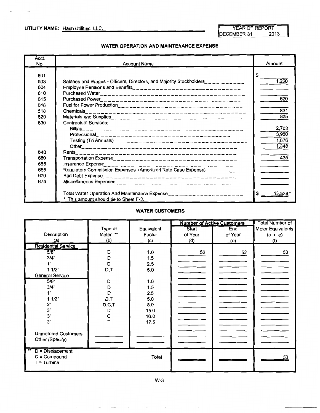$\bar{\mathbf{r}}$  :

**UTILITY NAME:** Hash Utilities, LLC. YEAR OF REPORT YEAR OF REPORT YEAR OF REPORT DECEMBER 31,

#### **WATER OPERATION AND MAINTENANCE EXPENSE**

| Acct.<br>No.                                                | <b>Account Name</b>                                                                                                                                                         | Amount                                    |
|-------------------------------------------------------------|-----------------------------------------------------------------------------------------------------------------------------------------------------------------------------|-------------------------------------------|
| 601<br>603<br>604<br>610<br>615<br>616<br>618<br>620<br>630 | Salaries and Wages - Officers, Directors, and Majority Stockholders__________<br>Employee Pensions and Benefits___________________________________<br>Contractual Services: | \$<br>1,200<br>620<br>831<br>825<br>2,703 |
| 640<br>650                                                  |                                                                                                                                                                             | 3.900<br>1,676<br>1,348<br>435            |
| 655<br>665<br>670<br>675                                    | Regulatory Commission Expenses (Amortized Rate Case Expense)________                                                                                                        |                                           |
|                                                             | Total Water Operation And Maintenance Expense________________________<br>* This amount should tie to Sheet F-3.                                                             | S<br>13.538                               |

#### **WATER CUSTOMERS**

|                               |          |            |         | <b>Number of Active Customers</b> | <b>Total Number of</b> |
|-------------------------------|----------|------------|---------|-----------------------------------|------------------------|
|                               | Type of  | Equivalent | Start   | End                               | Meter Equivalents      |
| Description                   | Meter ** | Factor     | of Year | of Year                           | $(c \times e)$         |
| (a)                           | (b)      | (c)        | (d)     | (e)                               | (f)                    |
| <b>Residential Service</b>    |          |            |         |                                   |                        |
| 5/8"                          | D        | 1.0        | 53      | 53                                | 53                     |
| 3/4"                          | D        | 1.5        |         |                                   |                        |
| 1"                            | D        | 2.5        |         |                                   |                        |
| 11/2"                         | D,T      | 5.0        |         |                                   |                        |
| <b>General Service</b>        |          |            |         |                                   |                        |
| 5/8"                          | D        | 1.0        |         |                                   |                        |
| 3/4"                          | D        | 1.5        |         |                                   |                        |
| 1"                            | D        | 2.5        |         |                                   |                        |
| 11/2"                         | D,T      | 5.0        |         |                                   |                        |
| 2"                            | D, C, T  | 8.0        |         |                                   |                        |
| 3"                            | D        | 15.0       |         |                                   |                        |
| 3"                            | С        | 16.0       |         |                                   |                        |
| 3"                            |          | 17.5       |         |                                   |                        |
|                               |          |            |         |                                   |                        |
| <b>Unmetered Customers</b>    |          |            |         |                                   |                        |
| Other (Specify)               |          |            |         |                                   |                        |
|                               |          |            |         |                                   |                        |
| $\overline{D}$ = Displacement |          |            |         |                                   |                        |
| $C = Compound$                |          | Total      |         |                                   | 53                     |
| $T =$ Turbine                 |          |            |         |                                   |                        |
|                               |          |            |         |                                   |                        |

W-3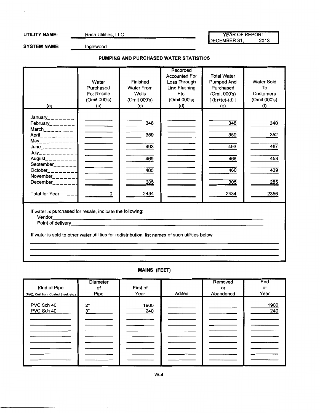$\overline{a}$ 

**UTILITY NAME:** Hash Utilities, LLC. We have not the VEAR OF REPORT YEAR OF REPORT DECEMBER 31,

SYSTEM NAME: **Inglewood** 

#### **PUMPING AND PURCHASED WATER STATISTICS**

| (a)                                                                                                                                                                                                                                                                                                                                                                                              | Water<br>Purchased<br>For Resale<br>(Omit 000's)<br>(b)                                                                            | Finished<br><b>Water From</b><br>Wells<br>(Omit 000's)<br>(c) | Recorded<br><b>Accounted For</b><br>Loss Through<br>Line Flushing<br>Etc.<br>(Omit 000's)<br>(d) | <b>Total Water</b><br><b>Pumped And</b><br>Purchased<br>(Omit 000's)<br>$[(b)+(c)-(d)]$<br>(e) | Water Sold<br>To<br>Customers<br>(Omit 000's)<br>(f) |
|--------------------------------------------------------------------------------------------------------------------------------------------------------------------------------------------------------------------------------------------------------------------------------------------------------------------------------------------------------------------------------------------------|------------------------------------------------------------------------------------------------------------------------------------|---------------------------------------------------------------|--------------------------------------------------------------------------------------------------|------------------------------------------------------------------------------------------------|------------------------------------------------------|
| January________<br>February_ $\frac{1}{2}$ ______<br>$March$ <sub>______</sub> _<br>April ___ __ _ _ _ _<br>$May_{---------}$<br>$June_{\dots - - - - - - -}$<br>$July$ <sub>---------</sub><br>August_________<br>September <sub>______</sub><br>October $\_$<br>November <sub><math>-</math>----</sub><br>December <sub>-----</sub><br>Total for Year_____                                     | the company of the company of<br><b>Contract Contract</b><br><b>Contract Contract</b><br>and the company of the<br>and the company | 348<br>359<br>493<br>469<br>460<br>305<br>2434                |                                                                                                  | 348<br>359<br>493<br>469<br>460<br>305<br>2434                                                 | 340<br>352<br>487<br>453<br>439<br>285<br>2356       |
| If water is purchased for resale, indicate the following:<br>Point of delivery the contract of the contract of the contract of the contract of the contract of the contract of the contract of the contract of the contract of the contract of the contract of the contract of the contract<br>If water is sold to other water utilities for redistribution, list names of such utilities below: |                                                                                                                                    |                                                               |                                                                                                  |                                                                                                |                                                      |

### **MAINS (FEET)**

|                                      | Diameter |             |       | Removed   | End         |
|--------------------------------------|----------|-------------|-------|-----------|-------------|
| Kind of Pipe                         | Οf       | First of    |       | or        | оf          |
| (PVC, Cast Iron, Coated Steel, etc.) | Pipe     | Year        | Added | Abandoned | Year        |
| PVC Sch 40<br>PVC Sch 40             | 2"<br>3" | 1900<br>240 |       |           | 1900<br>240 |
|                                      |          |             |       |           |             |
|                                      |          |             |       |           |             |
|                                      |          |             |       |           |             |
|                                      |          |             |       |           |             |
|                                      |          |             |       |           |             |
|                                      |          |             |       |           |             |
|                                      |          |             |       |           |             |

W-4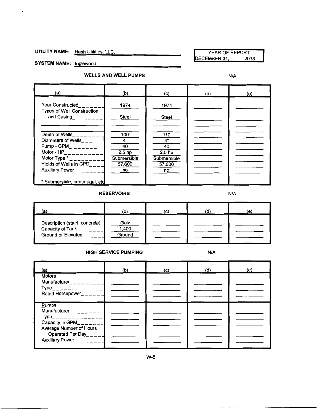UTILITY NAME: Hash Utilities, LLC. YEAR OF REPORT YEAR OF REPORT DECEMBER 31,

SYSTEM NAME: **inglewood** 

**WELLS AND WELL PUMPS** N/A

| (a)                                                                                                                                                              | (b)                                                                  | (c)                                                                 | (d) | (e) |
|------------------------------------------------------------------------------------------------------------------------------------------------------------------|----------------------------------------------------------------------|---------------------------------------------------------------------|-----|-----|
| <b>Year Constructed</b><br><b>Types of Well Construction</b><br>and Casing                                                                                       | 1974<br>Steel                                                        | 1974<br>Steel                                                       |     |     |
| Depth of Wells<br>Diameters of Wells____<br>Pump - GPM_ $\_\$<br>Motor - $HP$ <sub>___</sub> ______<br>Motor Type *<br>Yields of Wells in GPD<br>Auxiliary Power | 100'<br>4"<br>40<br>2.5 <sub>hp</sub><br>Submersible<br>57,600<br>no | 110<br>4"<br>40<br>2.5 <sub>hp</sub><br>Submersible<br>57,600<br>no |     |     |
| * Submersible, centrifugal, etc.                                                                                                                                 |                                                                      |                                                                     |     |     |

#### **RESERVOIRS** N/A

| 'а.                                                                     | (b)                     | (C) | (e) |
|-------------------------------------------------------------------------|-------------------------|-----|-----|
| Description (steel, concrete)<br>Capacity of Tank<br>Ground or Elevated | Galv<br>1,400<br>Ground |     |     |

#### **HIGH SERVICE PUMPING N/A**

| (a)                                                                                                  | (b) | (c) | (d) | (e) |
|------------------------------------------------------------------------------------------------------|-----|-----|-----|-----|
| <b>Motors</b><br>Manufacturer_________<br>$Type$ <sub>______________</sub><br>Rated Horsepower______ |     |     |     |     |
| Pumps<br>Manufacturer__________<br>$Type$ <sub>_______________</sub><br>Capacity in GPM_______       |     |     |     |     |
| Average Number of Hours<br>Operated Per Day_____<br>Auxiliary Power________                          |     |     |     |     |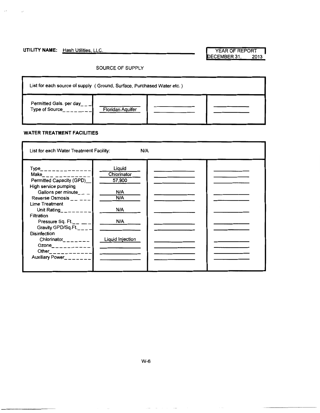## UTILITY NAME: Hash Utilities, LLC. **We are also assessed to the VEAR OF REPORT**

 $\lambda$  .

Ţ.

DECEMBER 31, 2013

#### SOURCE OF SUPPLY

| List for each source of supply (Ground, Surface, Purchased Water etc.) |                         |  |  |  |
|------------------------------------------------------------------------|-------------------------|--|--|--|
| Permitted Gals. per day<br><b>Type of Source</b>                       | <b>Floridan Aquifer</b> |  |  |  |

#### **WATER TREATMENT FACILITIES**

| List for each Water Treatment Facility:<br>N/A                                                                                                                                                                                                                                                                                                                                |                                                                                 |  |  |  |
|-------------------------------------------------------------------------------------------------------------------------------------------------------------------------------------------------------------------------------------------------------------------------------------------------------------------------------------------------------------------------------|---------------------------------------------------------------------------------|--|--|--|
| $Type$ <sub>______________</sub><br>Make___ _ _ _ _ _ _ _<br>Permitted Capacity (GPD)<br>High service pumping<br>Gallons per minute_ $\_ -$<br>Reverse Osmosis<br>Lime Treatment<br>Unit Rating_ $---$<br><b>Filtration</b><br>Pressure Sq. Ft.<br>Gravity GPD/Sq.Ft.<br>Disinfection<br>Chlorinator_______<br>Ozone__________<br>Other____________<br>Auxiliary Power_______ | Liquid<br>Chiorinator<br>57,900<br>N/A<br>N/A<br>N/A<br>N/A<br>Liquid Injection |  |  |  |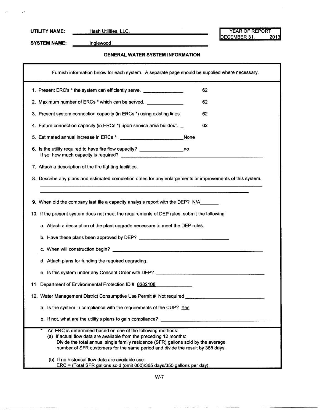$\mathbf{r}^{\star}$ 

UTILITY NAME: Hash Utilities, LLC.<br>DECEMBER 31, 2013 DECEMBER 31,

SYSTEM NAME: <u>Inglewood</u>

#### **GENERAL WATER SYSTEM INFORMATION**

| Furnish information below for each system. A separate page should be supplied where necessary.                                                                                                                                                                                                            |
|-----------------------------------------------------------------------------------------------------------------------------------------------------------------------------------------------------------------------------------------------------------------------------------------------------------|
| 1. Present ERC's * the system can efficiently serve. ___________________________<br>62                                                                                                                                                                                                                    |
| 2. Maximum number of ERCs * which can be served. ______________<br>62                                                                                                                                                                                                                                     |
| 3. Present system connection capacity (in ERCs *) using existing lines.<br>62                                                                                                                                                                                                                             |
| 62<br>4. Future connection capacity (in ERCs *) upon service area buildout.                                                                                                                                                                                                                               |
| 5. Estimated annual increase in ERCs *. _________________________________None                                                                                                                                                                                                                             |
| 6. Is the utility required to have fire flow capacity? _________________________ no                                                                                                                                                                                                                       |
| 7. Attach a description of the fire fighting facilities.                                                                                                                                                                                                                                                  |
| 8. Describe any plans and estimated completion dates for any enlargements or improvements of this system.                                                                                                                                                                                                 |
| 9. When did the company last file a capacity analysis report with the DEP? N/A________<br>10. If the present system does not meet the requirements of DEP rules, submit the following:<br>a. Attach a description of the plant upgrade necessary to meet the DEP rules.                                   |
|                                                                                                                                                                                                                                                                                                           |
| d. Attach plans for funding the required upgrading.                                                                                                                                                                                                                                                       |
|                                                                                                                                                                                                                                                                                                           |
| 11. Department of Environmental Protection ID # 6382108                                                                                                                                                                                                                                                   |
| 12. Water Management District Consumptive Use Permit # Not required ________________________________                                                                                                                                                                                                      |
| a. Is the system in compliance with the requirements of the CUP? Yes                                                                                                                                                                                                                                      |
| b. If not, what are the utility's plans to gain compliance?                                                                                                                                                                                                                                               |
| An ERC is determined based on one of the following methods:<br>(a) If actual flow data are available from the preceding 12 months:<br>Divide the total annual single family residence (SFR) gallons sold by the average<br>number of SFR customers for the same period and divide the result by 365 days. |
| (b) If no historical flow data are available use:<br>ERC = (Total SFR gallons sold (omit 000)/365 days/350 gallons per day).                                                                                                                                                                              |

W-7

 $\sim$   $\sim$  $\bar{z}_\mathrm{max}$   $\sim$ 

 $\sim$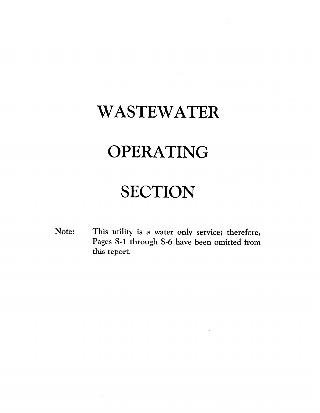## WASTEWATER

# OPERATING

## **SECTION**

This utility is a water only service; therefore, Note: Pages S-1 through S-6 have been omitted from this report.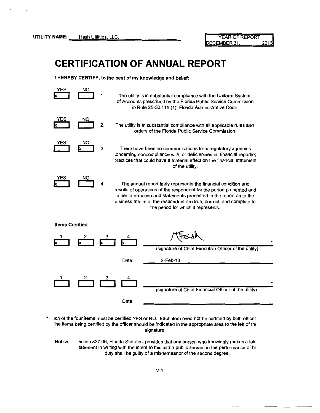## **CERTIFICATION OF ANNUAL REPORT**

**I HEREBY CERTIFY, to the best of my knowledge and belief:** 





\* 1ch of the four items must be certified YES or NO. Each item need not be certified by both officer The items being certified by the officer should be indicated in the appropriate area to the left of the signature.

Notice: ection 837.06, Florida Statutes, provides that any person who knowingly makes a fals tatement in writing with the intent to mislead a public servant in the performance of hi duty shall be guilty of a misdemeanor of the second degree.